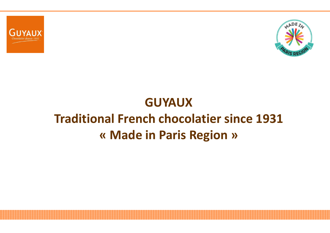



### **GUYAUX**

# **Traditional French chocolatier since 1931« Made in Paris Region »**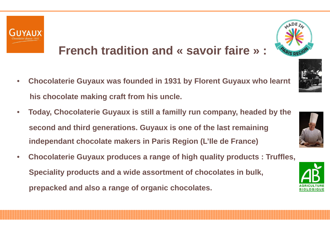

# **French tradition and « savoir faire » :**

- • **Chocolaterie Guyaux was founded in 1931 by Florent Guyaux who learnt his chocolate making craft from his uncle.**
- • **Today, Chocolaterie Guyaux is still a familly run company, headed by thesecond and third generations. Guyaux is one of the last remainingindependant chocolate makers in Paris Region (L'Ile de France)**
- • **Chocolaterie Guyaux produces a range of high quality products : Truffles, Speciality products and a wide assortment of chocolates in bulk, prepacked and also a range of organic chocolates.**



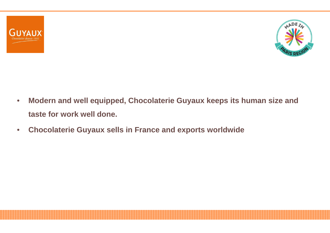



- $\bullet$  **Modern and well equipped, Chocolaterie Guyaux keeps its human size and taste for work well done.**
- $\bullet$ **Chocolaterie Guyaux sells in France and exports worldwide**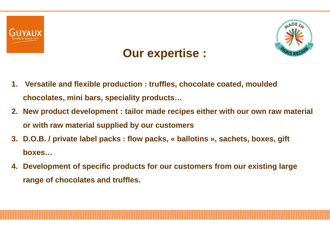





- **1. Versatile and flexible production : truffles, chocolate coated, mouldedchocolates, mini bars, speciality products…**
- 2. New product development:tailor made recipes either with our own raw material **or with raw material supplied by our customers**
- **3. D.O.B. / private label packs : flow packs, « ballotins », sachets, boxes, gift boxes…**
- **4. Development of specific products for our customers from our existing large range of chocolates and truffles.**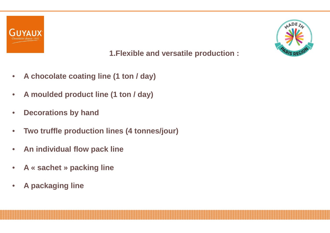



#### **1.Flexible and versatile production :**

- $\bullet$ **A chocolate coating line (1 ton / day)**
- $\bullet$ **A moulded product line (1 ton / day)**
- $\bullet$ **Decorations by hand**
- $\bullet$ **Two truffle production lines (4 tonnes/jour)**
- $\bullet$ **An individual flow pack line**
- $\bullet$ **A « sachet » packing line**
- $\bullet$ **A packaging line**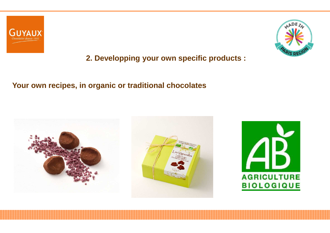



**2. Developping your own specific products :** 

#### **Your own recipes, in organic or traditional chocolates**

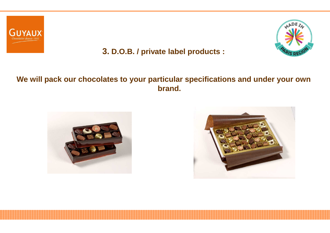



#### **3. D.O.B. / private label products :**

#### **We will pack our chocolates to your particular specifications and under your ownbrand.**



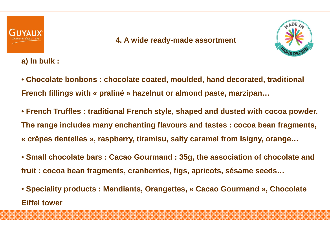

#### **4. A wide ready-made assortment**



#### **a) In bulk :**

- **Chocolate bonbons : chocolate coated, moulded, hand decorated, traditional French fillings with « praliné » hazelnut or almond paste, marzipan…**
- **French Truffles : traditional French style, shaped and dusted with cocoa powder. The range includes many enchanting flavours and tastes : cocoa bean fragments, « crêpes dentelles », raspberry, tiramisu, salty caramel from Isigny, orange…**
- **Small chocolate bars : Cacao Gourmand : 35g, the association of chocolate and fruit : cocoa bean fragments, cranberries, figs, apricots, sésame seeds…**
- **Speciality products : Mendiants, Orangettes, « Cacao Gourmand », Chocolate Eiffel tower**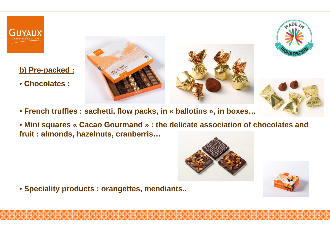

#### **b) Pre-packed :**

• **Chocolates :** 





• **French truffles : sachetti, flow packs, in « ballotins », in boxes…**

 • **Mini squares « Cacao Gourmand » : the delicate association of chocolates and fruit : almonds, hazelnuts, cranberris…**





• **Speciality products : orangettes, mendiants..**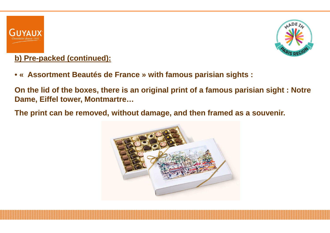



### **b) Pre-packed (continued):**

• **« Assortment Beautés de France » with famous parisian sights :** 

**On the lid of the boxes, there is an original print of a famous parisian sight : Notre Dame, Eiffel tower, Montmartre…**

**The print can be removed, without damage, and then framed as a souvenir.**

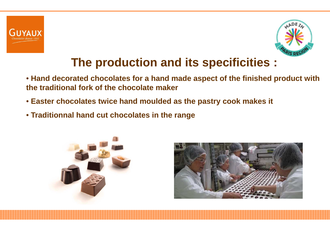



# **The production and its specificities :**

- **Hand decorated chocolates for a hand made aspect of the finished product withthe traditional fork of the chocolate maker**
- **Easter chocolates twice hand moulded as the pastry cook makes it**
- **Traditionnal hand cut chocolates in the range**



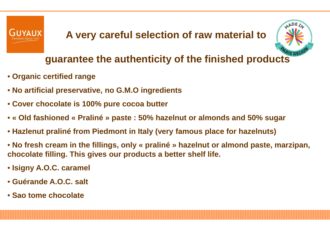



### **guarantee the authenticity of the finished products**

- **Organic certified range**
- **No artificial preservative, no G.M.O ingredients**
- **Cover chocolate is 100% pure cocoa butter**
- **« Old fashioned « Praliné » paste : 50% hazelnut or almonds and 50% sugar**
- **Hazlenut praliné from Piedmont in Italy (very famous place for hazelnuts)**
- **No fresh cream in the fillings, only « praliné » hazelnut or almond paste, marzipan, chocolate filling. This gives our products a better shelf life.**
- **Isigny A.O.C. caramel**
- **Guérande A.O.C. salt**
- **Sao tome chocolate**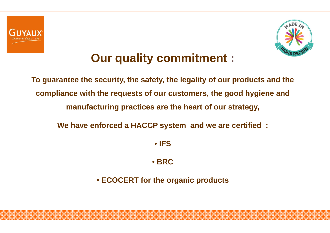



### **Our quality commitment :**

**To guarantee the security, the safety, the legality of our products and the compliance with the requests of our customers, the good hygiene and manufacturing practices are the heart of our strategy,**

**We have enforced a HACCP system and we are certified :** 

• **IFS**

• **BRC**

• **ECOCERT for the organic products**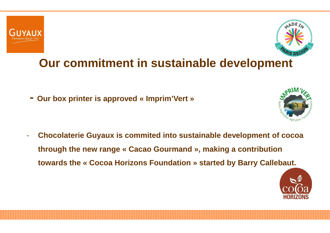



# **Our commitment in sustainable development**

**- Our box printer is approved « Imprim'Vert »**



- **Chocolaterie Guyaux is commited into sustainable development of cocoathrough the new range « Cacao Gourmand », making a contribution towards the « Cocoa Horizons Foundation » started by Barry Callebaut.**

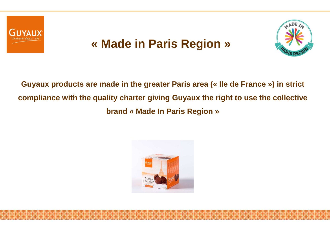

### **« Made in Paris Region»**



**Guyaux products are made in the greater Paris area (« Ile de France ») in strict compliance with the quality charter giving Guyaux the right to use the collective brand « Made In Paris Region »**

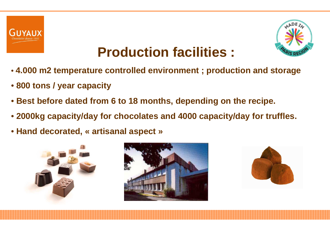



# **Production facilities :**

- **4.000 m2 temperature controlled environment ; production and storage**
- **800 tons / year capacity**
- **Best before dated from 6 to 18 months, depending on the recipe.**
- **2000kg capacity/day for chocolates and 4000 capacity/day for truffles.**
- **Hand decorated, « artisanal aspect »**





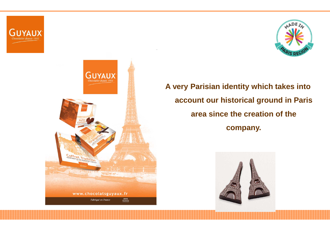



### **A very Parisian identity which takes into account our historical ground in Paris area since the creation of the company.**

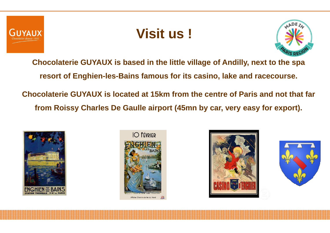

## **Visit us !**



**Chocolaterie GUYAUX is based in the little village of Andilly, next to the spa resort of Enghien-les-Bains famous for its casino, lake and racecourse. Chocolaterie GUYAUX is located at 15km from the centre of Paris and not that far from Roissy Charles De Gaulle airport (45mn by car, very easy for export).**